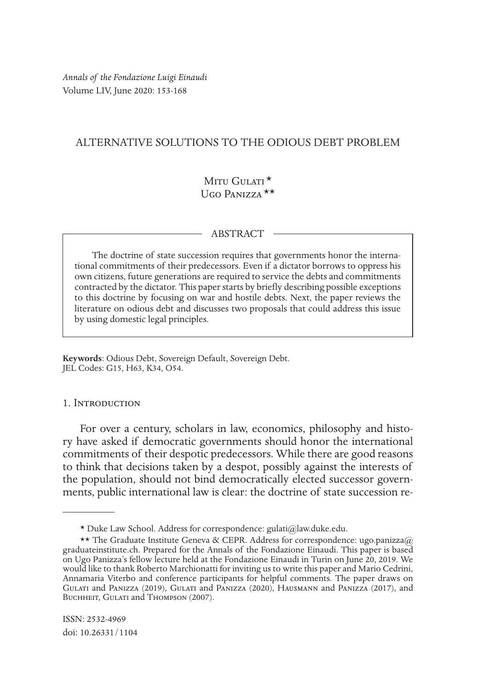*Annals of the Fondazione Luigi Einaudi* Volume LIV, June 2020: 153-168

# ALTERNATIVE SOLUTIONS TO THE ODIOUS DEBT PROBLEM

# MITU  $G$ ulati $\star$ Mitu Gulati \*<br>Ugo Panizza \*\*

### ABSTRACT

The doctrine of state succession requires that governments honor the international commitments of their predecessors. Even if a dictator borrows to oppress his own citizens, future generations are required to service the debts and commitments contracted by the dictator. This paper starts by briefy describing possible exceptions to this doctrine by focusing on war and hostile debts. Next, the paper reviews the literature on odious debt and discusses two proposals that could address this issue by using domestic legal principles.

**Keywords**: Odious Debt, Sovereign Default, Sovereign Debt. JEL Codes: G15, H63, K34, O54.

### 1. Introduction

For over a century, scholars in law, economics, philosophy and history have asked if democratic governments should honor the international commitments of their despotic predecessors. While there are good reasons to think that decisions taken by a despot, possibly against the interests of the population, should not bind democratically elected successor governments, public international law is clear: the doctrine of state succession re-

ISSN: 2532-4969 doi: 10.26331/1104

<sup>1</sup> \* Duke Law School. Address for correspondence: gulati@law.duke.edu.

<sup>\*\*</sup> The Graduate Institute Geneva & CEPR. Address for correspondence: ugo.panizza@ graduateinstitute.ch. Prepared for the Annals of the Fondazione Einaudi. This paper is based on Ugo Panizza's fellow lecture held at the Fondazione Einaudi in Turin on June 20, 2019. We would like to thank Roberto Marchionatti for inviting us to write this paper and Mario Cedrini, Annamaria Viterbo and conference participants for helpful comments. The paper draws on Gulati and Panizza (2019), Gulati and Panizza (2020), Hausmann and Panizza (2017), and BUCHHEIT, GULATI and THOMPSON (2007).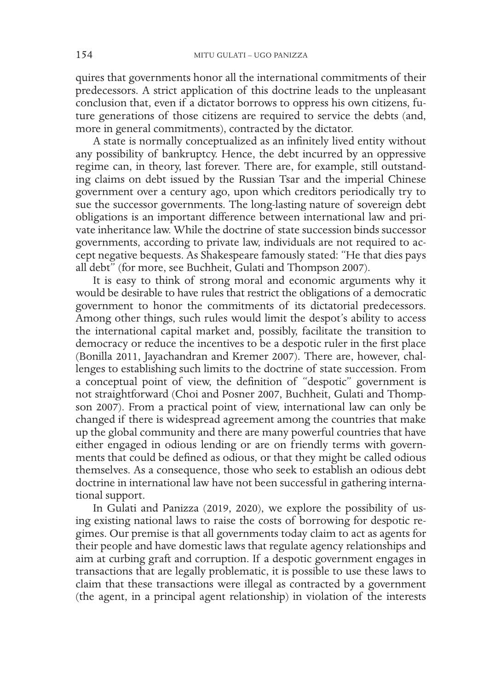quires that governments honor all the international commitments of their predecessors. A strict application of this doctrine leads to the unpleasant conclusion that, even if a dictator borrows to oppress his own citizens, future generations of those citizens are required to service the debts (and, more in general commitments), contracted by the dictator.

A state is normally conceptualized as an infnitely lived entity without any possibility of bankruptcy. Hence, the debt incurred by an oppressive regime can, in theory, last forever. There are, for example, still outstanding claims on debt issued by the Russian Tsar and the imperial Chinese government over a century ago, upon which creditors periodically try to sue the successor governments. The long-lasting nature of sovereign debt obligations is an important diference between international law and private inheritance law. While the doctrine of state succession binds successor governments, according to private law, individuals are not required to accept negative bequests. As Shakespeare famously stated: "He that dies pays all debt" (for more, see Buchheit, Gulati and Thompson 2007).

It is easy to think of strong moral and economic arguments why it would be desirable to have rules that restrict the obligations of a democratic government to honor the commitments of its dictatorial predecessors. Among other things, such rules would limit the despot's ability to access the international capital market and, possibly, facilitate the transition to democracy or reduce the incentives to be a despotic ruler in the frst place (Bonilla 2011, Jayachandran and Kremer 2007). There are, however, challenges to establishing such limits to the doctrine of state succession. From a conceptual point of view, the defnition of "despotic" government is not straightforward (Choi and Posner 2007, Buchheit, Gulati and Thompson 2007). From a practical point of view, international law can only be changed if there is widespread agreement among the countries that make up the global community and there are many powerful countries that have either engaged in odious lending or are on friendly terms with governments that could be defned as odious, or that they might be called odious themselves. As a consequence, those who seek to establish an odious debt doctrine in international law have not been successful in gathering international support.

In Gulati and Panizza (2019, 2020), we explore the possibility of using existing national laws to raise the costs of borrowing for despotic regimes. Our premise is that all governments today claim to act as agents for their people and have domestic laws that regulate agency relationships and aim at curbing graft and corruption. If a despotic government engages in transactions that are legally problematic, it is possible to use these laws to claim that these transactions were illegal as contracted by a government (the agent, in a principal agent relationship) in violation of the interests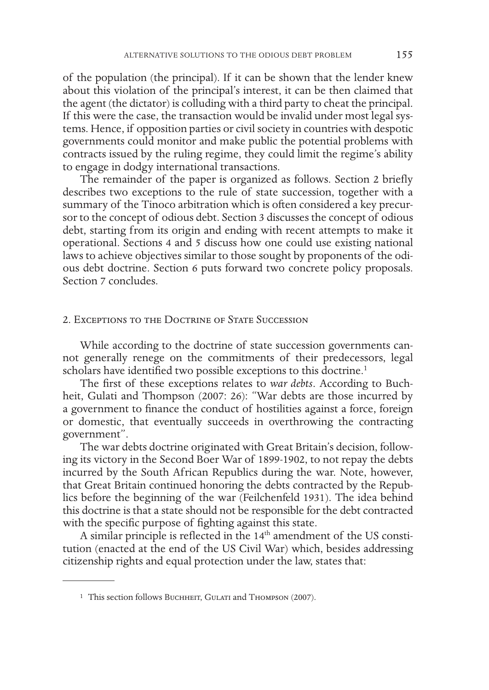of the population (the principal). If it can be shown that the lender knew about this violation of the principal's interest, it can be then claimed that the agent (the dictator) is colluding with a third party to cheat the principal. If this were the case, the transaction would be invalid under most legal systems. Hence, if opposition parties or civil society in countries with despotic governments could monitor and make public the potential problems with contracts issued by the ruling regime, they could limit the regime's ability to engage in dodgy international transactions.

The remainder of the paper is organized as follows. Section 2 briefy describes two exceptions to the rule of state succession, together with a summary of the Tinoco arbitration which is often considered a key precursor to the concept of odious debt. Section 3 discusses the concept of odious debt, starting from its origin and ending with recent attempts to make it operational. Sections 4 and 5 discuss how one could use existing national laws to achieve objectives similar to those sought by proponents of the odious debt doctrine. Section 6 puts forward two concrete policy proposals. Section 7 concludes.

### 2. Exceptions to the Doctrine of State Succession

While according to the doctrine of state succession governments cannot generally renege on the commitments of their predecessors, legal scholars have identified two possible exceptions to this doctrine.<sup>1</sup>

The frst of these exceptions relates to *war debts*. According to Buchheit, Gulati and Thompson (2007: 26): "War debts are those incurred by a government to fnance the conduct of hostilities against a force, foreign or domestic, that eventually succeeds in overthrowing the contracting government".

The war debts doctrine originated with Great Britain's decision, following its victory in the Second Boer War of 1899-1902, to not repay the debts incurred by the South African Republics during the war. Note, however, that Great Britain continued honoring the debts contracted by the Republics before the beginning of the war (Feilchenfeld 1931). The idea behind this doctrine is that a state should not be responsible for the debt contracted with the specific purpose of fighting against this state.

A similar principle is reflected in the  $14<sup>th</sup>$  amendment of the US constitution (enacted at the end of the US Civil War) which, besides addressing citizenship rights and equal protection under the law, states that:

<sup>&</sup>lt;sup>1</sup> This section follows Buchheit, Gulati and Thompson (2007).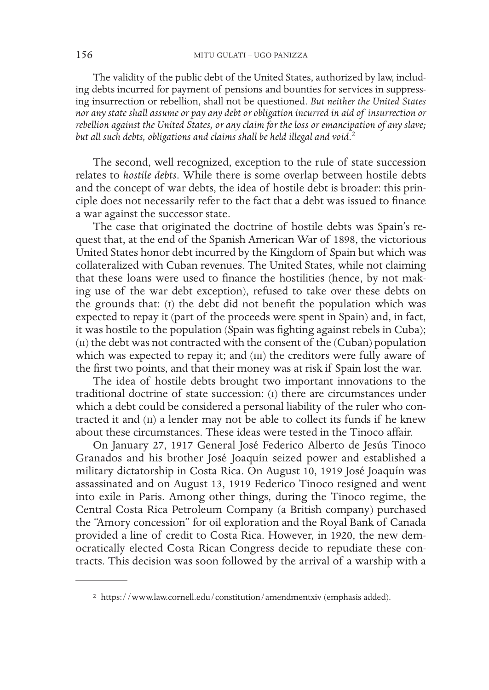The validity of the public debt of the United States, authorized by law, including debts incurred for payment of pensions and bounties for services in suppressing insurrection or rebellion, shall not be questioned. *But neither the United States nor any state shall assume or pay any debt or obligation incurred in aid of insurrection or rebellion against the United States, or any claim for the loss or emancipation of any slave; but all such debts, obligations and claims shall be held illegal and void*. 2

The second, well recognized, exception to the rule of state succession relates to *hostile debts*. While there is some overlap between hostile debts and the concept of war debts, the idea of hostile debt is broader: this principle does not necessarily refer to the fact that a debt was issued to fnance a war against the successor state.

The case that originated the doctrine of hostile debts was Spain's request that, at the end of the Spanish American War of 1898, the victorious United States honor debt incurred by the Kingdom of Spain but which was collateralized with Cuban revenues. The United States, while not claiming that these loans were used to fnance the hostilities (hence, by not making use of the war debt exception), refused to take over these debts on the grounds that: (i) the debt did not beneft the population which was expected to repay it (part of the proceeds were spent in Spain) and, in fact, it was hostile to the population (Spain was fghting against rebels in Cuba); (ii) the debt was not contracted with the consent of the (Cuban) population which was expected to repay it; and (III) the creditors were fully aware of the frst two points, and that their money was at risk if Spain lost the war.

The idea of hostile debts brought two important innovations to the traditional doctrine of state succession: (i) there are circumstances under which a debt could be considered a personal liability of the ruler who contracted it and  $(ii)$  a lender may not be able to collect its funds if he knew about these circumstances. These ideas were tested in the Tinoco afair.

On January 27, 1917 General José Federico Alberto de Jesús Tinoco Granados and his brother José Joaquín seized power and established a military dictatorship in Costa Rica. On August 10, 1919 José Joaquín was assassinated and on August 13, 1919 Federico Tinoco resigned and went into exile in Paris. Among other things, during the Tinoco regime, the Central Costa Rica Petroleum Company (a British company) purchased the "Amory concession" for oil exploration and the Royal Bank of Canada provided a line of credit to Costa Rica. However, in 1920, the new democratically elected Costa Rican Congress decide to repudiate these contracts. This decision was soon followed by the arrival of a warship with a

<sup>2</sup> https://www.law.cornell.edu/constitution/amendmentxiv (emphasis added).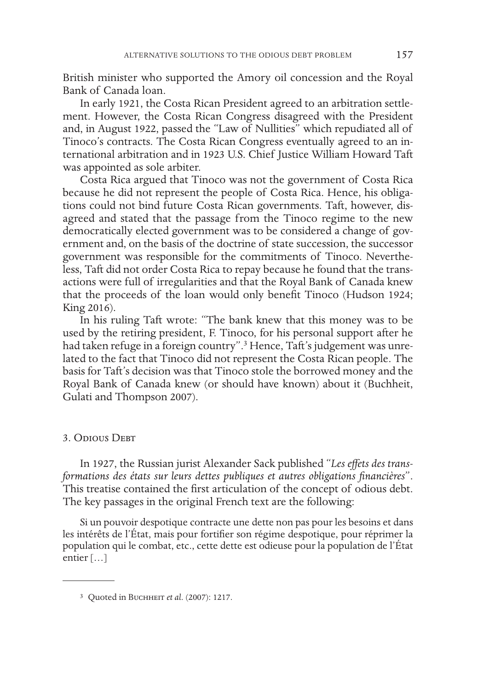British minister who supported the Amory oil concession and the Royal Bank of Canada loan.

In early 1921, the Costa Rican President agreed to an arbitration settlement. However, the Costa Rican Congress disagreed with the President and, in August 1922, passed the "Law of Nullities" which repudiated all of Tinoco's contracts. The Costa Rican Congress eventually agreed to an international arbitration and in 1923 U.S. Chief Justice William Howard Taft was appointed as sole arbiter.

Costa Rica argued that Tinoco was not the government of Costa Rica because he did not represent the people of Costa Rica. Hence, his obligations could not bind future Costa Rican governments. Taft, however, disagreed and stated that the passage from the Tinoco regime to the new democratically elected government was to be considered a change of government and, on the basis of the doctrine of state succession, the successor government was responsible for the commitments of Tinoco. Nevertheless, Taft did not order Costa Rica to repay because he found that the transactions were full of irregularities and that the Royal Bank of Canada knew that the proceeds of the loan would only beneft Tinoco (Hudson 1924; King 2016).

In his ruling Taft wrote: "The bank knew that this money was to be used by the retiring president, F. Tinoco, for his personal support after he had taken refuge in a foreign country".<sup>3</sup> Hence, Taft's judgement was unrelated to the fact that Tinoco did not represent the Costa Rican people. The basis for Taft's decision was that Tinoco stole the borrowed money and the Royal Bank of Canada knew (or should have known) about it (Buchheit, Gulati and Thompson 2007).

## 3. Odious Debt

In 1927, the Russian jurist Alexander Sack published "*Les efets des transformations des états sur leurs dettes publiques et autres obligations fnancières*". This treatise contained the frst articulation of the concept of odious debt. The key passages in the original French text are the following:

Si un pouvoir despotique contracte une dette non pas pour les besoins et dans les intérêts de l'État, mais pour fortifer son régime despotique, pour réprimer la population qui le combat, etc., cette dette est odieuse pour la population de l'État entier […]

<sup>3</sup> Quoted in Buchheit *et al*. (2007): 1217.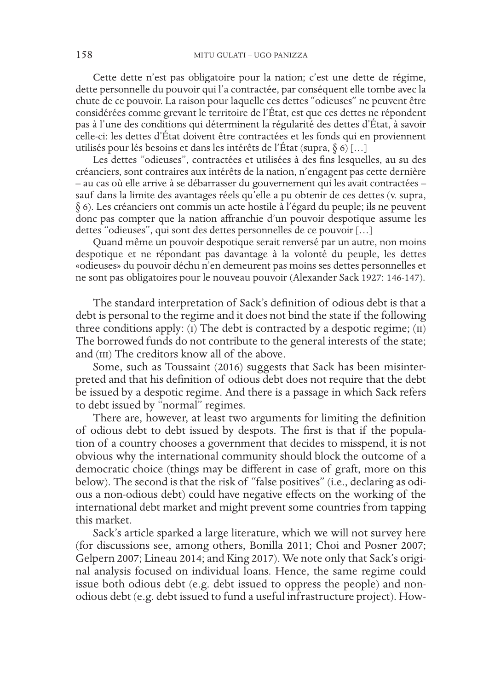Cette dette n'est pas obligatoire pour la nation; c'est une dette de régime, dette personnelle du pouvoir qui l'a contractée, par conséquent elle tombe avec la chute de ce pouvoir. La raison pour laquelle ces dettes "odieuses" ne peuvent être considérées comme grevant le territoire de l'État, est que ces dettes ne répondent pas à l'une des conditions qui déterminent la régularité des dettes d'État, à savoir celle-ci: les dettes d'État doivent être contractées et les fonds qui en proviennent utilisés pour lés besoins et dans les intérêts de l'État (supra,  $\S 6$ ) [...]

Les dettes "odieuses", contractées et utilisées à des fns lesquelles, au su des créanciers, sont contraires aux intérêts de la nation, n'engagent pas cette dernière – au cas où elle arrive à se débarrasser du gouvernement qui les avait contractées – sauf dans la limite des avantages réels qu'elle a pu obtenir de ces dettes (v. supra, § 6). Les créanciers ont commis un acte hostile à l'égard du peuple; ils ne peuvent donc pas compter que la nation afranchie d'un pouvoir despotique assume les dettes "odieuses", qui sont des dettes personnelles de ce pouvoir […]

Quand même un pouvoir despotique serait renversé par un autre, non moins despotique et ne répondant pas davantage à la volonté du peuple, les dettes «odieuses» du pouvoir déchu n'en demeurent pas moins ses dettes personnelles et ne sont pas obligatoires pour le nouveau pouvoir (Alexander Sack 1927: 146-147).

The standard interpretation of Sack's defnition of odious debt is that a debt is personal to the regime and it does not bind the state if the following three conditions apply: (i) The debt is contracted by a despotic regime;  $(ii)$ The borrowed funds do not contribute to the general interests of the state; and (III) The creditors know all of the above.

Some, such as Toussaint (2016) suggests that Sack has been misinterpreted and that his defnition of odious debt does not require that the debt be issued by a despotic regime. And there is a passage in which Sack refers to debt issued by "normal" regimes.

There are, however, at least two arguments for limiting the defnition of odious debt to debt issued by despots. The frst is that if the population of a country chooses a government that decides to misspend, it is not obvious why the international community should block the outcome of a democratic choice (things may be diferent in case of graft, more on this below). The second is that the risk of "false positives" (i.e., declaring as odious a non-odious debt) could have negative efects on the working of the international debt market and might prevent some countries from tapping this market.

Sack's article sparked a large literature, which we will not survey here (for discussions see, among others, Bonilla 2011; Choi and Posner 2007; Gelpern 2007; Lineau 2014; and King 2017). We note only that Sack's original analysis focused on individual loans. Hence, the same regime could issue both odious debt (e.g. debt issued to oppress the people) and nonodious debt (e.g. debt issued to fund a useful infrastructure project). How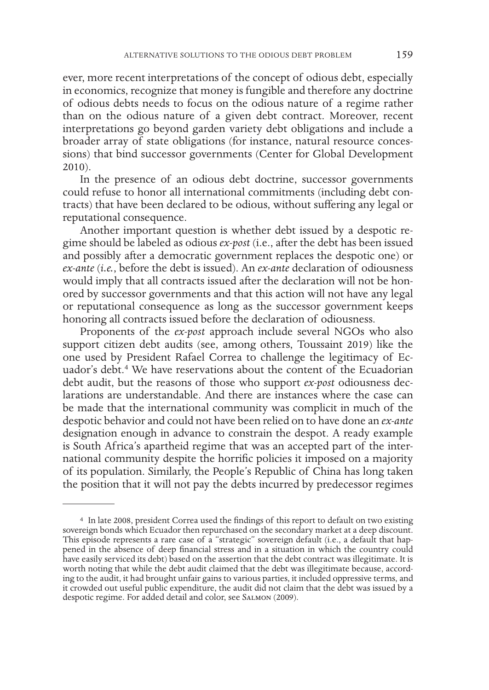ever, more recent interpretations of the concept of odious debt, especially in economics, recognize that money is fungible and therefore any doctrine of odious debts needs to focus on the odious nature of a regime rather than on the odious nature of a given debt contract. Moreover, recent interpretations go beyond garden variety debt obligations and include a broader array of state obligations (for instance, natural resource concessions) that bind successor governments (Center for Global Development 2010).

In the presence of an odious debt doctrine, successor governments could refuse to honor all international commitments (including debt contracts) that have been declared to be odious, without sufering any legal or reputational consequence.

Another important question is whether debt issued by a despotic regime should be labeled as odious *ex-post* (i.e., after the debt has been issued and possibly after a democratic government replaces the despotic one) or *ex-ante* (*i.e.*, before the debt is issued). An *ex-ante* declaration of odiousness would imply that all contracts issued after the declaration will not be honored by successor governments and that this action will not have any legal or reputational consequence as long as the successor government keeps honoring all contracts issued before the declaration of odiousness.

Proponents of the *ex-post* approach include several NGOs who also support citizen debt audits (see, among others, Toussaint 2019) like the one used by President Rafael Correa to challenge the legitimacy of Ecuador's debt.<sup>4</sup> We have reservations about the content of the Ecuadorian debt audit, but the reasons of those who support *ex-post* odiousness declarations are understandable. And there are instances where the case can be made that the international community was complicit in much of the despotic behavior and could not have been relied on to have done an *ex-ante* designation enough in advance to constrain the despot. A ready example is South Africa's apartheid regime that was an accepted part of the international community despite the horrifc policies it imposed on a majority of its population. Similarly, the People's Republic of China has long taken the position that it will not pay the debts incurred by predecessor regimes

<sup>4</sup> In late 2008, president Correa used the fndings of this report to default on two existing sovereign bonds which Ecuador then repurchased on the secondary market at a deep discount. This episode represents a rare case of a "strategic" sovereign default (i.e., a default that hap-<br>pened in the absence of deep financial stress and in a situation in which the country could have easily serviced its debt) based on the assertion that the debt contract was illegitimate. It is worth noting that while the debt audit claimed that the debt was illegitimate because, according to the audit, it had brought unfair gains to various parties, it included oppressive terms, and it crowded out useful public expenditure, the audit did not claim that the debt was issued by a despotic regime. For added detail and color, see Salmon (2009).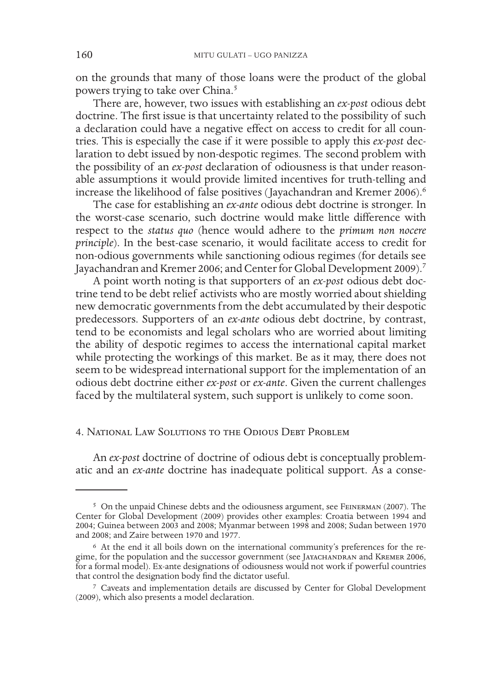on the grounds that many of those loans were the product of the global powers trying to take over China.<sup>5</sup>

There are, however, two issues with establishing an *ex-post* odious debt doctrine. The frst issue is that uncertainty related to the possibility of such a declaration could have a negative efect on access to credit for all countries. This is especially the case if it were possible to apply this *ex-post* declaration to debt issued by non-despotic regimes. The second problem with the possibility of an *ex-post* declaration of odiousness is that under reasonable assumptions it would provide limited incentives for truth-telling and increase the likelihood of false positives (Jayachandran and Kremer 2006).<sup>6</sup>

The case for establishing an *ex-ante* odious debt doctrine is stronger. In the worst-case scenario, such doctrine would make little diference with respect to the *status quo* (hence would adhere to the *primum non nocere principle*). In the best-case scenario, it would facilitate access to credit for non-odious governments while sanctioning odious regimes (for details see Jayachandran and Kremer 2006; and Center for Global Development 2009).<sup>7</sup>

A point worth noting is that supporters of an *ex-post* odious debt doctrine tend to be debt relief activists who are mostly worried about shielding new democratic governments from the debt accumulated by their despotic predecessors. Supporters of an *ex-ante* odious debt doctrine, by contrast, tend to be economists and legal scholars who are worried about limiting the ability of despotic regimes to access the international capital market while protecting the workings of this market. Be as it may, there does not seem to be widespread international support for the implementation of an odious debt doctrine either *ex-post* or *ex-ante*. Given the current challenges faced by the multilateral system, such support is unlikely to come soon.

#### 4. National Law Solutions to the Odious Debt Problem

An *ex-post* doctrine of doctrine of odious debt is conceptually problematic and an *ex-ante* doctrine has inadequate political support. As a conse-

<sup>5</sup> On the unpaid Chinese debts and the odiousness argument, see Feinerman (2007). The Center for Global Development (2009) provides other examples: Croatia between 1994 and 2004; Guinea between 2003 and 2008; Myanmar between 1998 and 2008; Sudan between 1970 and 2008; and Zaire between 1970 and 1977.

<sup>6</sup> At the end it all boils down on the international community's preferences for the regime, for the population and the successor government (see JAYACHANDRAN and KREMER 2006, for a formal model). Ex-ante designations of odiousness would not work if powerful countries that control the designation body fnd the dictator useful.

<sup>7</sup> Caveats and implementation details are discussed by Center for Global Development (2009), which also presents a model declaration.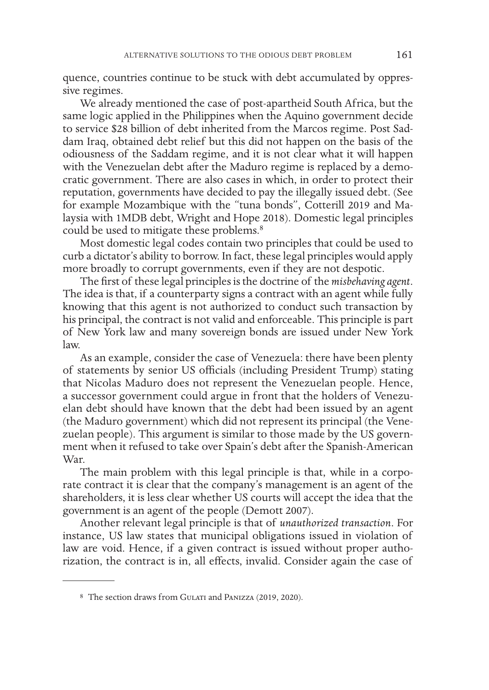quence, countries continue to be stuck with debt accumulated by oppressive regimes.

We already mentioned the case of post-apartheid South Africa, but the same logic applied in the Philippines when the Aquino government decide to service \$28 billion of debt inherited from the Marcos regime. Post Saddam Iraq, obtained debt relief but this did not happen on the basis of the odiousness of the Saddam regime, and it is not clear what it will happen with the Venezuelan debt after the Maduro regime is replaced by a democratic government. There are also cases in which, in order to protect their reputation, governments have decided to pay the illegally issued debt. (See for example Mozambique with the "tuna bonds", Cotterill 2019 and Malaysia with 1MDB debt, Wright and Hope 2018). Domestic legal principles could be used to mitigate these problems.<sup>8</sup>

Most domestic legal codes contain two principles that could be used to curb a dictator's ability to borrow. In fact, these legal principles would apply more broadly to corrupt governments, even if they are not despotic.

The frst of these legal principles is the doctrine of the *misbehaving agent*. The idea is that, if a counterparty signs a contract with an agent while fully knowing that this agent is not authorized to conduct such transaction by his principal, the contract is not valid and enforceable. This principle is part of New York law and many sovereign bonds are issued under New York law.

As an example, consider the case of Venezuela: there have been plenty of statements by senior US officials (including President Trump) stating that Nicolas Maduro does not represent the Venezuelan people. Hence, a successor government could argue in front that the holders of Venezuelan debt should have known that the debt had been issued by an agent (the Maduro government) which did not represent its principal (the Venezuelan people). This argument is similar to those made by the US government when it refused to take over Spain's debt after the Spanish-American War.

The main problem with this legal principle is that, while in a corporate contract it is clear that the company's management is an agent of the shareholders, it is less clear whether US courts will accept the idea that the government is an agent of the people (Demott 2007).

Another relevant legal principle is that of *unauthorized transaction*. For instance, US law states that municipal obligations issued in violation of law are void. Hence, if a given contract is issued without proper authorization, the contract is in, all efects, invalid. Consider again the case of

<sup>8</sup> The section draws from GULATI and PANIZZA (2019, 2020).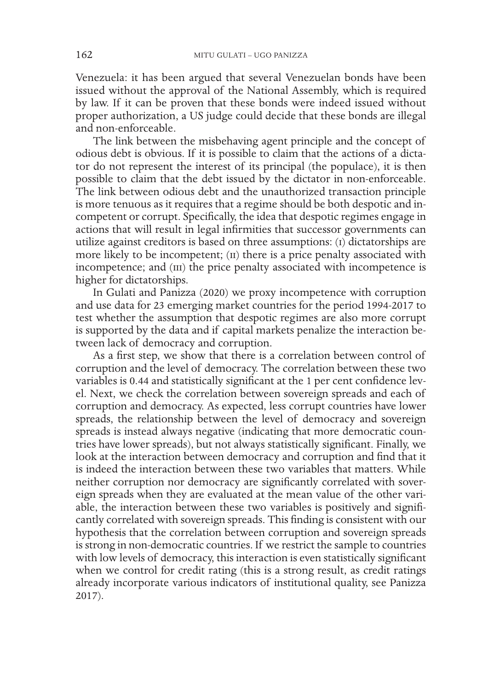Venezuela: it has been argued that several Venezuelan bonds have been issued without the approval of the National Assembly, which is required by law. If it can be proven that these bonds were indeed issued without proper authorization, a US judge could decide that these bonds are illegal and non-enforceable.

The link between the misbehaving agent principle and the concept of odious debt is obvious. If it is possible to claim that the actions of a dictator do not represent the interest of its principal (the populace), it is then possible to claim that the debt issued by the dictator in non-enforceable. The link between odious debt and the unauthorized transaction principle is more tenuous as it requires that a regime should be both despotic and incompetent or corrupt. Specifcally, the idea that despotic regimes engage in actions that will result in legal infrmities that successor governments can utilize against creditors is based on three assumptions: (i) dictatorships are more likely to be incompetent; (II) there is a price penalty associated with incompetence; and (III) the price penalty associated with incompetence is higher for dictatorships.

In Gulati and Panizza (2020) we proxy incompetence with corruption and use data for 23 emerging market countries for the period 1994-2017 to test whether the assumption that despotic regimes are also more corrupt is supported by the data and if capital markets penalize the interaction between lack of democracy and corruption.

As a frst step, we show that there is a correlation between control of corruption and the level of democracy. The correlation between these two variables is 0.44 and statistically signifcant at the 1 per cent confdence level. Next, we check the correlation between sovereign spreads and each of corruption and democracy. As expected, less corrupt countries have lower spreads, the relationship between the level of democracy and sovereign spreads is instead always negative (indicating that more democratic countries have lower spreads), but not always statistically signifcant. Finally, we look at the interaction between democracy and corruption and fnd that it is indeed the interaction between these two variables that matters. While neither corruption nor democracy are signifcantly correlated with sovereign spreads when they are evaluated at the mean value of the other variable, the interaction between these two variables is positively and signifcantly correlated with sovereign spreads. This fnding is consistent with our hypothesis that the correlation between corruption and sovereign spreads is strong in non-democratic countries. If we restrict the sample to countries with low levels of democracy, this interaction is even statistically signifcant when we control for credit rating (this is a strong result, as credit ratings already incorporate various indicators of institutional quality, see Panizza 2017).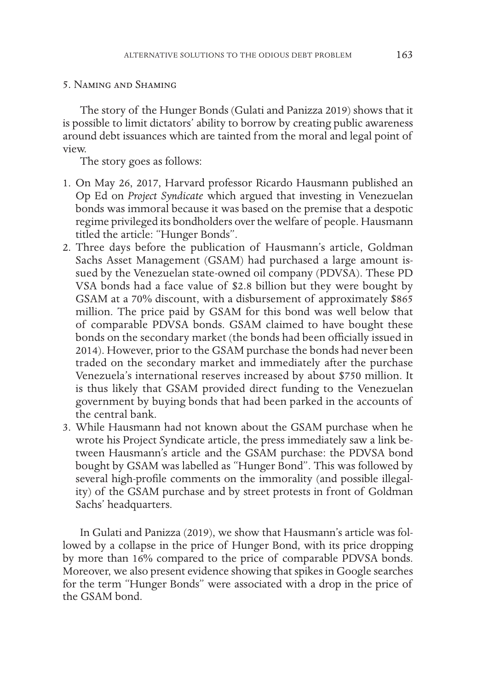### 5. Naming and Shaming

The story of the Hunger Bonds (Gulati and Panizza 2019) shows that it is possible to limit dictators' ability to borrow by creating public awareness around debt issuances which are tainted from the moral and legal point of view.

The story goes as follows:

- 1. On May 26, 2017, Harvard professor Ricardo Hausmann published an Op Ed on *Project Syndicate* which argued that investing in Venezuelan bonds was immoral because it was based on the premise that a despotic regime privileged its bondholders over the welfare of people. Hausmann titled the article: "Hunger Bonds".
- 2. Three days before the publication of Hausmann's article, Goldman Sachs Asset Management (GSAM) had purchased a large amount issued by the Venezuelan state-owned oil company (PDVSA). These PD VSA bonds had a face value of \$2.8 billion but they were bought by GSAM at a 70% discount, with a disbursement of approximately \$865 million. The price paid by GSAM for this bond was well below that of comparable PDVSA bonds. GSAM claimed to have bought these bonds on the secondary market (the bonds had been officially issued in 2014). However, prior to the GSAM purchase the bonds had never been traded on the secondary market and immediately after the purchase Venezuela's international reserves increased by about \$750 million. It is thus likely that GSAM provided direct funding to the Venezuelan government by buying bonds that had been parked in the accounts of the central bank.
- 3. While Hausmann had not known about the GSAM purchase when he wrote his Project Syndicate article, the press immediately saw a link between Hausmann's article and the GSAM purchase: the PDVSA bond bought by GSAM was labelled as "Hunger Bond". This was followed by several high-profle comments on the immorality (and possible illegality) of the GSAM purchase and by street protests in front of Goldman Sachs' headquarters.

In Gulati and Panizza (2019), we show that Hausmann's article was followed by a collapse in the price of Hunger Bond, with its price dropping by more than 16% compared to the price of comparable PDVSA bonds. Moreover, we also present evidence showing that spikes in Google searches for the term "Hunger Bonds" were associated with a drop in the price of the GSAM bond.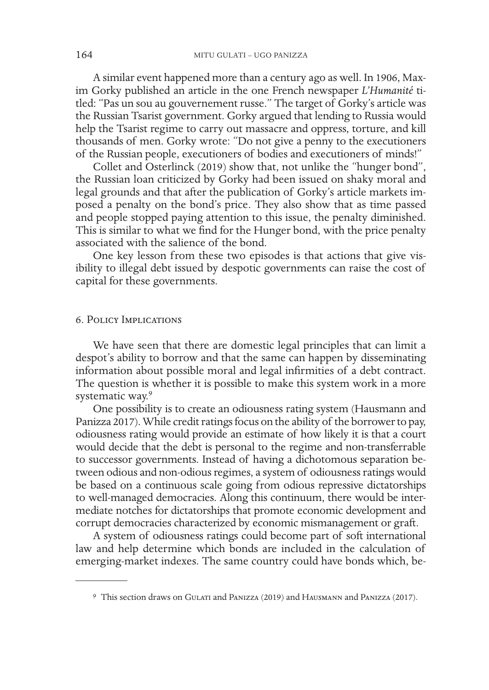A similar event happened more than a century ago as well. In 1906, Maxim Gorky published an article in the one French newspaper *L'Humanité* titled: "Pas un sou au gouvernement russe." The target of Gorky's article was the Russian Tsarist government. Gorky argued that lending to Russia would help the Tsarist regime to carry out massacre and oppress, torture, and kill thousands of men. Gorky wrote: "Do not give a penny to the executioners of the Russian people, executioners of bodies and executioners of minds!"

Collet and Osterlinck (2019) show that, not unlike the "hunger bond", the Russian loan criticized by Gorky had been issued on shaky moral and legal grounds and that after the publication of Gorky's article markets imposed a penalty on the bond's price. They also show that as time passed and people stopped paying attention to this issue, the penalty diminished. This is similar to what we fnd for the Hunger bond, with the price penalty associated with the salience of the bond.

One key lesson from these two episodes is that actions that give visibility to illegal debt issued by despotic governments can raise the cost of capital for these governments.

### 6. Policy Implications

We have seen that there are domestic legal principles that can limit a despot's ability to borrow and that the same can happen by disseminating information about possible moral and legal infrmities of a debt contract. The question is whether it is possible to make this system work in a more systematic way.<sup>9</sup>

One possibility is to create an odiousness rating system (Hausmann and Panizza 2017). While credit ratings focus on the ability of the borrower to pay, odiousness rating would provide an estimate of how likely it is that a court would decide that the debt is personal to the regime and non-transferrable to successor governments. Instead of having a dichotomous separation between odious and non-odious regimes, a system of odiousness ratings would be based on a continuous scale going from odious repressive dictatorships to well-managed democracies. Along this continuum, there would be intermediate notches for dictatorships that promote economic development and corrupt democracies characterized by economic mismanagement or graft.

A system of odiousness ratings could become part of soft international law and help determine which bonds are included in the calculation of emerging-market indexes. The same country could have bonds which, be-

<sup>9</sup> This section draws on Gulati and Panizza (2019) and Hausmann and Panizza (2017).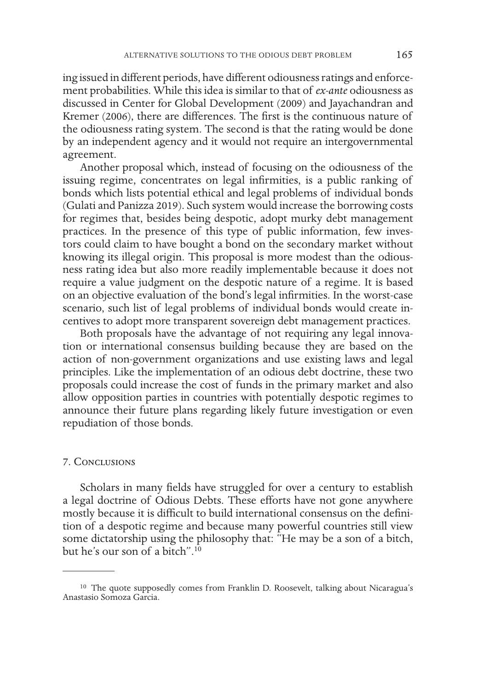ing issued in diferent periods, have diferent odiousness ratings and enforcement probabilities. While this idea is similar to that of *ex-ante* odiousness as discussed in Center for Global Development (2009) and Jayachandran and Kremer (2006), there are diferences. The frst is the continuous nature of the odiousness rating system. The second is that the rating would be done by an independent agency and it would not require an intergovernmental agreement.

Another proposal which, instead of focusing on the odiousness of the issuing regime, concentrates on legal infrmities, is a public ranking of bonds which lists potential ethical and legal problems of individual bonds (Gulati and Panizza 2019). Such system would increase the borrowing costs for regimes that, besides being despotic, adopt murky debt management practices. In the presence of this type of public information, few investors could claim to have bought a bond on the secondary market without knowing its illegal origin. This proposal is more modest than the odiousness rating idea but also more readily implementable because it does not require a value judgment on the despotic nature of a regime. It is based on an objective evaluation of the bond's legal infrmities. In the worst-case scenario, such list of legal problems of individual bonds would create incentives to adopt more transparent sovereign debt management practices.

Both proposals have the advantage of not requiring any legal innovation or international consensus building because they are based on the action of non-government organizations and use existing laws and legal principles. Like the implementation of an odious debt doctrine, these two proposals could increase the cost of funds in the primary market and also allow opposition parties in countries with potentially despotic regimes to announce their future plans regarding likely future investigation or even repudiation of those bonds.

#### 7. Conclusions

Scholars in many felds have struggled for over a century to establish a legal doctrine of Odious Debts. These efforts have not gone anywhere mostly because it is difficult to build international consensus on the definition of a despotic regime and because many powerful countries still view some dictatorship using the philosophy that: "He may be a son of a bitch, but he's our son of a bitch".10

<sup>&</sup>lt;sup>10</sup> The quote supposedly comes from Franklin D. Roosevelt, talking about Nicaragua's Anastasio Somoza Garcia.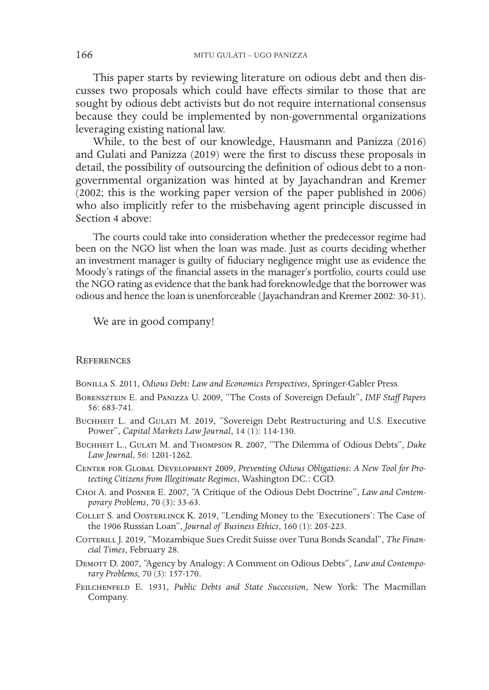This paper starts by reviewing literature on odious debt and then discusses two proposals which could have efects similar to those that are sought by odious debt activists but do not require international consensus because they could be implemented by non-governmental organizations leveraging existing national law.

While, to the best of our knowledge, Hausmann and Panizza (2016) and Gulati and Panizza (2019) were the frst to discuss these proposals in detail, the possibility of outsourcing the defnition of odious debt to a nongovernmental organization was hinted at by Jayachandran and Kremer (2002; this is the working paper version of the paper published in 2006) who also implicitly refer to the misbehaving agent principle discussed in Section 4 above:

The courts could take into consideration whether the predecessor regime had been on the NGO list when the loan was made. Just as courts deciding whether an investment manager is guilty of fduciary negligence might use as evidence the Moody's ratings of the fnancial assets in the manager's portfolio, courts could use the NGO rating as evidence that the bank had foreknowledge that the borrower was odious and hence the loan is unenforceable (Jayachandran and Kremer 2002: 30-31).

We are in good company!

#### **REFERENCES**

Bonilla S. 2011, *Odious Debt: Law and Economics Perspectives*, Springer-Gabler Press.

- Borensztein E. and Panizza U. 2009, "The Costs of Sovereign Default", *IMF Staf Papers* 56: 683-741.
- BUCHHEIT L. and GULATI M. 2019, "Sovereign Debt Restructuring and U.S. Executive Power", *Capital Markets Law Journal*, 14 (1): 114-130.
- Buchheit L., Gulati M. and Thompson R. 2007, "The Dilemma of Odious Debts", *Duke Law Journal*, 56: 1201-1262.
- Center for Global Development 2009, *Preventing Odious Obligations: A New Tool for Protecting Citizens from Illegitimate Regimes*, Washington DC.: CGD.
- Choi A. and Posner E. 2007, "A Critique of the Odious Debt Doctrine", *Law and Contemporary Problems*, 70 (3): 33-63.
- Collet S. and Oosterlinck K. 2019, "Lending Money to the 'Executioners': The Case of the 1906 Russian Loan", *Journal of Business Ethics*, 160 (1): 205-223.
- COTTERILL J. 2019, "Mozambique Sues Credit Suisse over Tuna Bonds Scandal", *The Financial Times*, February 28.
- Demott D. 2007, "Agency by Analogy: A Comment on Odious Debts", *Law and Contemporary Problems*, 70 (3): 157-170.
- Feilchenfeld E. 1931, *Public Debts and State Succession*, New York: The Macmillan Company.